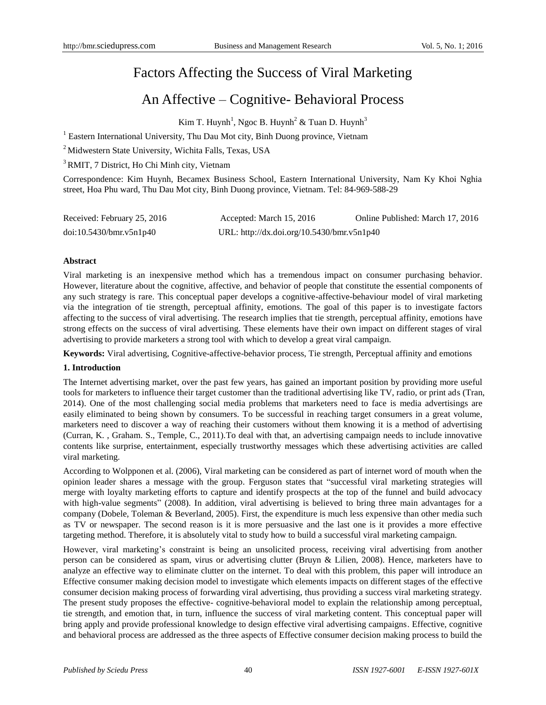# Factors Affecting the Success of Viral Marketing

## An Affective – Cognitive- Behavioral Process

Kim T. Huynh<sup>1</sup>, Ngoc B. Huynh<sup>2</sup> & Tuan D. Huynh<sup>3</sup>

<sup>1</sup> Eastern International University, Thu Dau Mot city, Binh Duong province, Vietnam

<sup>2</sup> Midwestern State University, Wichita Falls, Texas, USA

<sup>3</sup> RMIT, 7 District, Ho Chi Minh city, Vietnam

Correspondence: Kim Huynh, Becamex Business School, Eastern International University, Nam Ky Khoi Nghia street, Hoa Phu ward, Thu Dau Mot city, Binh Duong province, Vietnam. Tel: 84-969-588-29

| Received: February 25, 2016 | Accepted: March 15, 2016                   | Online Published: March 17, 2016 |
|-----------------------------|--------------------------------------------|----------------------------------|
| doi:10.5430/bmr.v5n1p40     | URL: http://dx.doi.org/10.5430/bmr.v5n1p40 |                                  |

#### **Abstract**

Viral marketing is an inexpensive method which has a tremendous impact on consumer purchasing behavior. However, literature about the cognitive, affective, and behavior of people that constitute the essential components of any such strategy is rare. This conceptual paper develops a cognitive-affective-behaviour model of viral marketing via the integration of tie strength, perceptual affinity, emotions. The goal of this paper is to investigate factors affecting to the success of viral advertising. The research implies that tie strength, perceptual affinity, emotions have strong effects on the success of viral advertising. These elements have their own impact on different stages of viral advertising to provide marketers a strong tool with which to develop a great viral campaign.

**Keywords:** Viral advertising, Cognitive-affective-behavior process, Tie strength, Perceptual affinity and emotions

#### **1. Introduction**

The Internet advertising market, over the past few years, has gained an important position by providing more useful tools for marketers to influence their target customer than the traditional advertising like TV, radio, or print ads (Tran, 2014). One of the most challenging social media problems that marketers need to face is media advertisings are easily eliminated to being shown by consumers. To be successful in reaching target consumers in a great volume, marketers need to discover a way of reaching their customers without them knowing it is a method of advertising (Curran, K. , Graham. S., Temple, C., 2011).To deal with that, an advertising campaign needs to include innovative contents like surprise, entertainment, especially trustworthy messages which these advertising activities are called viral marketing.

According to Wolpponen et al. (2006), Viral marketing can be considered as part of internet word of mouth when the opinion leader shares a message with the group. Ferguson states that "successful viral marketing strategies will merge with loyalty marketing efforts to capture and identify prospects at the top of the funnel and build advocacy with high-value segments" (2008). In addition, viral advertising is believed to bring three main advantages for a company (Dobele, Toleman & Beverland, 2005). First, the expenditure is much less expensive than other media such as TV or newspaper. The second reason is it is more persuasive and the last one is it provides a more effective targeting method. Therefore, it is absolutely vital to study how to build a successful viral marketing campaign.

However, viral marketing's constraint is being an unsolicited process, receiving viral advertising from another person can be considered as spam, virus or advertising clutter (Bruyn & Lilien, 2008). Hence, marketers have to analyze an effective way to eliminate clutter on the internet. To deal with this problem, this paper will introduce an Effective consumer making decision model to investigate which elements impacts on different stages of the effective consumer decision making process of forwarding viral advertising, thus providing a success viral marketing strategy. The present study proposes the effective- cognitive-behavioral model to explain the relationship among perceptual, tie strength, and emotion that, in turn, influence the success of viral marketing content. This conceptual paper will bring apply and provide professional knowledge to design effective viral advertising campaigns. Effective, cognitive and behavioral process are addressed as the three aspects of Effective consumer decision making process to build the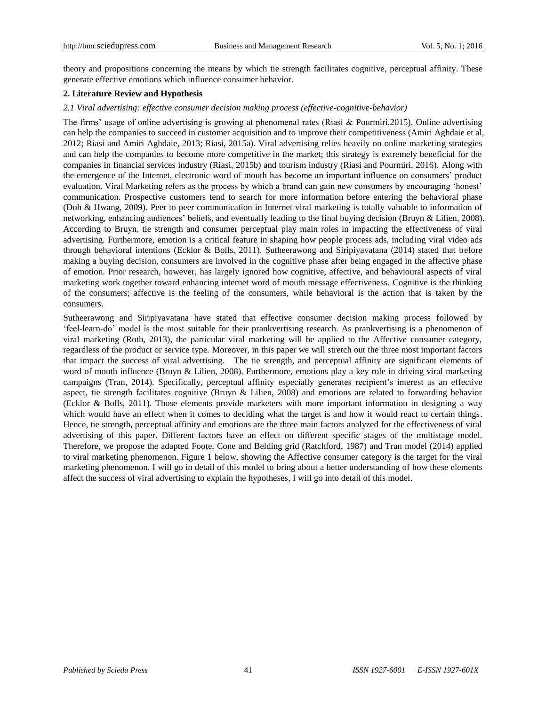theory and propositions concerning the means by which tie strength facilitates cognitive, perceptual affinity. These generate effective emotions which influence consumer behavior.

#### **2. Literature Review and Hypothesis**

#### *2.1 Viral advertising: effective consumer decision making process (effective-cognitive-behavior)*

The firms' usage of online advertising is growing at phenomenal rates (Riasi & Pourmiri,2015). Online advertising can help the companies to succeed in customer acquisition and to improve their competitiveness (Amiri Aghdaie et al, 2012; Riasi and Amiri Aghdaie, 2013; Riasi, 2015a). Viral advertising relies heavily on online marketing strategies and can help the companies to become more competitive in the market; this strategy is extremely beneficial for the companies in financial services industry (Riasi, 2015b) and tourism industry (Riasi and Pourmiri, 2016). Along with the emergence of the Internet, electronic word of mouth has become an important influence on consumers' product evaluation. Viral Marketing refers as the process by which a brand can gain new consumers by encouraging 'honest' communication. Prospective customers tend to search for more information before entering the behavioral phase (Doh & Hwang, 2009). Peer to peer communication in Internet viral marketing is totally valuable to information of networking, enhancing audiences' beliefs, and eventually leading to the final buying decision (Bruyn & Lilien, 2008). According to Bruyn, tie strength and consumer perceptual play main roles in impacting the effectiveness of viral advertising. Furthermore, emotion is a critical feature in shaping how people process ads, including viral video ads through behavioral intentions (Ecklor & Bolls, 2011). Sutheerawong and Siripiyavatana (2014) stated that before making a buying decision, consumers are involved in the cognitive phase after being engaged in the affective phase of emotion. Prior research, however, has largely ignored how cognitive, affective, and behavioural aspects of viral marketing work together toward enhancing internet word of mouth message effectiveness. Cognitive is the thinking of the consumers; affective is the feeling of the consumers, while behavioral is the action that is taken by the consumers.

Sutheerawong and Siripiyavatana have stated that effective consumer decision making process followed by 'feel-learn-do' model is the most suitable for their prankvertising research. As prankvertising is a phenomenon of viral marketing (Roth, 2013), the particular viral marketing will be applied to the Affective consumer category, regardless of the product or service type. Moreover, in this paper we will stretch out the three most important factors that impact the success of viral advertising. The tie strength, and perceptual affinity are significant elements of word of mouth influence (Bruyn & Lilien, 2008). Furthermore, emotions play a key role in driving viral marketing campaigns (Tran, 2014). Specifically, perceptual affinity especially generates recipient's interest as an effective aspect, tie strength facilitates cognitive (Bruyn & Lilien, 2008) and emotions are related to forwarding behavior (Ecklor & Bolls, 2011). Those elements provide marketers with more important information in designing a way which would have an effect when it comes to deciding what the target is and how it would react to certain things. Hence, tie strength, perceptual affinity and emotions are the three main factors analyzed for the effectiveness of viral advertising of this paper. Different factors have an effect on different specific stages of the multistage model. Therefore, we propose the adapted Foote, Cone and Belding grid (Ratchford, 1987) and Tran model (2014) applied to viral marketing phenomenon. Figure 1 below, showing the Affective consumer category is the target for the viral marketing phenomenon. I will go in detail of this model to bring about a better understanding of how these elements affect the success of viral advertising to explain the hypotheses, I will go into detail of this model.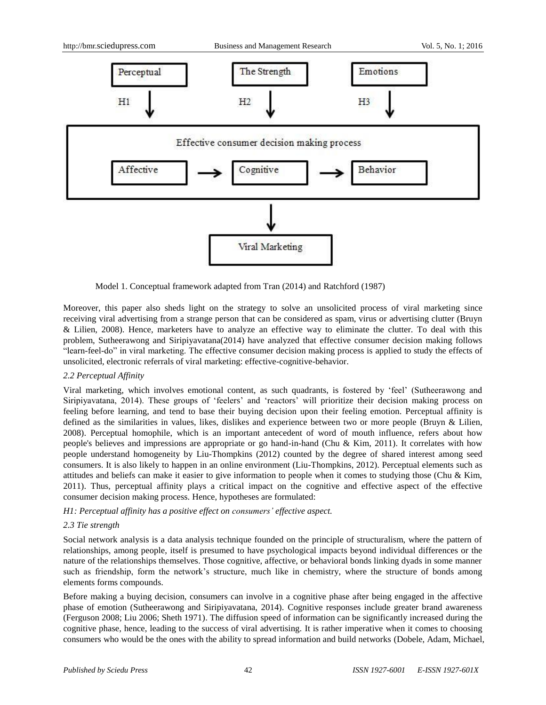

Model 1. Conceptual framework adapted from Tran (2014) and Ratchford (1987)

Moreover, this paper also sheds light on the strategy to solve an unsolicited process of viral marketing since receiving viral advertising from a strange person that can be considered as spam, virus or advertising clutter (Bruyn & Lilien, 2008). Hence, marketers have to analyze an effective way to eliminate the clutter. To deal with this problem, Sutheerawong and Siripiyavatana(2014) have analyzed that effective consumer decision making follows "learn-feel-do" in viral marketing. The effective consumer decision making process is applied to study the effects of unsolicited, electronic referrals of viral marketing: effective-cognitive-behavior.

## *2.2 Perceptual Affinity*

Viral marketing, which involves emotional content, as such quadrants, is fostered by 'feel' (Sutheerawong and Siripiyavatana, 2014). These groups of 'feelers' and 'reactors' will prioritize their decision making process on feeling before learning, and tend to base their buying decision upon their feeling emotion. Perceptual affinity is defined as the similarities in values, likes, dislikes and experience between two or more people (Bruyn & Lilien, 2008). Perceptual homophile, which is an important antecedent of word of mouth influence, refers about how people's believes and impressions are appropriate or go hand-in-hand (Chu & Kim, 2011). It correlates with how people understand homogeneity by Liu-Thompkins (2012) counted by the degree of shared interest among seed consumers. It is also likely to happen in an online environment (Liu-Thompkins, 2012). Perceptual elements such as attitudes and beliefs can make it easier to give information to people when it comes to studying those (Chu & Kim, 2011). Thus, perceptual affinity plays a critical impact on the cognitive and effective aspect of the effective consumer decision making process. Hence, hypotheses are formulated:

#### *H1: Perceptual affinity has a positive effect on consumers' effective aspect.*

#### *2.3 Tie strength*

Social network analysis is a data analysis technique founded on the principle of structuralism, where the pattern of relationships, among people, itself is presumed to have psychological impacts beyond individual differences or the nature of the relationships themselves. Those cognitive, affective, or behavioral bonds linking dyads in some manner such as friendship, form the network's structure, much like in chemistry, where the structure of bonds among elements forms compounds.

Before making a buying decision, consumers can involve in a cognitive phase after being engaged in the affective phase of emotion (Sutheerawong and Siripiyavatana, 2014). Cognitive responses include greater brand awareness (Ferguson 2008; Liu 2006; Sheth 1971). The diffusion speed of information can be significantly increased during the cognitive phase, hence, leading to the success of viral advertising. It is rather imperative when it comes to choosing consumers who would be the ones with the ability to spread information and build networks (Dobele, Adam, Michael,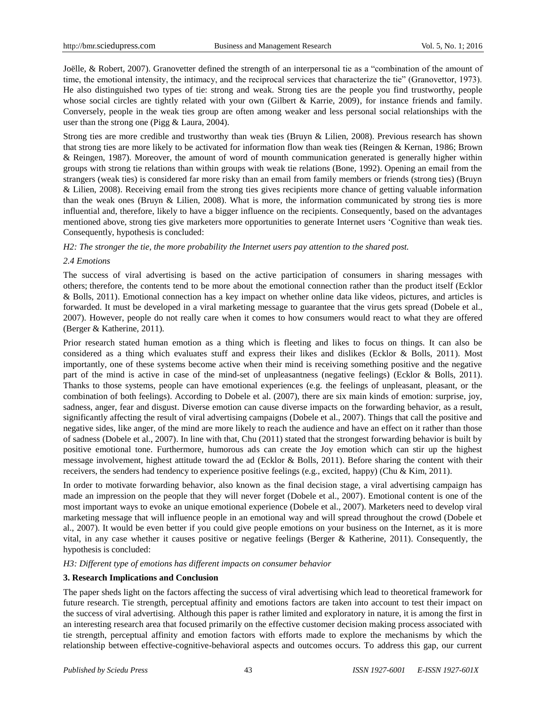Joëlle, & Robert, 2007). Granovetter defined the strength of an interpersonal tie as a "combination of the amount of time, the emotional intensity, the intimacy, and the reciprocal services that characterize the tie" (Granovettor, 1973). He also distinguished two types of tie: strong and weak. Strong ties are the people you find trustworthy, people whose social circles are tightly related with your own (Gilbert & Karrie, 2009), for instance friends and family. Conversely, people in the weak ties group are often among weaker and less personal social relationships with the user than the strong one (Pigg & Laura, 2004).

Strong ties are more credible and trustworthy than weak ties (Bruyn & Lilien, 2008). Previous research has shown that strong ties are more likely to be activated for information flow than weak ties (Reingen & Kernan, 1986; Brown & Reingen, 1987). Moreover, the amount of word of mounth communication generated is generally higher within groups with strong tie relations than within groups with weak tie relations (Bone, 1992). Opening an email from the strangers (weak ties) is considered far more risky than an email from family members or friends (strong ties) (Bruyn & Lilien, 2008). Receiving email from the strong ties gives recipients more chance of getting valuable information than the weak ones (Bruyn & Lilien, 2008). What is more, the information communicated by strong ties is more influential and, therefore, likely to have a bigger influence on the recipients. Consequently, based on the advantages mentioned above, strong ties give marketers more opportunities to generate Internet users 'Cognitive than weak ties. Consequently, hypothesis is concluded:

*H2: The stronger the tie, the more probability the Internet users pay attention to the shared post.* 

## *2.4 Emotions*

The success of viral advertising is based on the active participation of consumers in sharing messages with others; therefore, the contents tend to be more about the emotional connection rather than the product itself (Ecklor & Bolls, 2011). Emotional connection has a key impact on whether online data like videos, pictures, and articles is forwarded. It must be developed in a viral marketing message to guarantee that the virus gets spread (Dobele et al., 2007). However, people do not really care when it comes to how consumers would react to what they are offered (Berger & Katherine, 2011).

Prior research stated human emotion as a thing which is fleeting and likes to focus on things. It can also be considered as a thing which evaluates stuff and express their likes and dislikes (Ecklor & Bolls, 2011). Most importantly, one of these systems become active when their mind is receiving something positive and the negative part of the mind is active in case of the mind-set of unpleasantness (negative feelings) (Ecklor & Bolls, 2011). Thanks to those systems, people can have emotional experiences (e.g. the feelings of unpleasant, pleasant, or the combination of both feelings). According to Dobele et al. (2007), there are six main kinds of emotion: surprise, joy, sadness, anger, fear and disgust. Diverse emotion can cause diverse impacts on the forwarding behavior, as a result, significantly affecting the result of viral advertising campaigns (Dobele et al., 2007). Things that call the positive and negative sides, like anger, of the mind are more likely to reach the audience and have an effect on it rather than those of sadness (Dobele et al., 2007). In line with that, Chu (2011) stated that the strongest forwarding behavior is built by positive emotional tone. Furthermore, humorous ads can create the Joy emotion which can stir up the highest message involvement, highest attitude toward the ad (Ecklor & Bolls, 2011). Before sharing the content with their receivers, the senders had tendency to experience positive feelings (e.g., excited, happy) (Chu & Kim, 2011).

In order to motivate forwarding behavior, also known as the final decision stage, a viral advertising campaign has made an impression on the people that they will never forget (Dobele et al., 2007). Emotional content is one of the most important ways to evoke an unique emotional experience (Dobele et al., 2007). Marketers need to develop viral marketing message that will influence people in an emotional way and will spread throughout the crowd (Dobele et al., 2007). It would be even better if you could give people emotions on your business on the Internet, as it is more vital, in any case whether it causes positive or negative feelings (Berger & Katherine, 2011). Consequently, the hypothesis is concluded:

## *H3: Different type of emotions has different impacts on consumer behavior*

## **3. Research Implications and Conclusion**

The paper sheds light on the factors affecting the success of viral advertising which lead to theoretical framework for future research. Tie strength, perceptual affinity and emotions factors are taken into account to test their impact on the success of viral advertising. Although this paper is rather limited and exploratory in nature, it is among the first in an interesting research area that focused primarily on the effective customer decision making process associated with tie strength, perceptual affinity and emotion factors with efforts made to explore the mechanisms by which the relationship between effective-cognitive-behavioral aspects and outcomes occurs. To address this gap, our current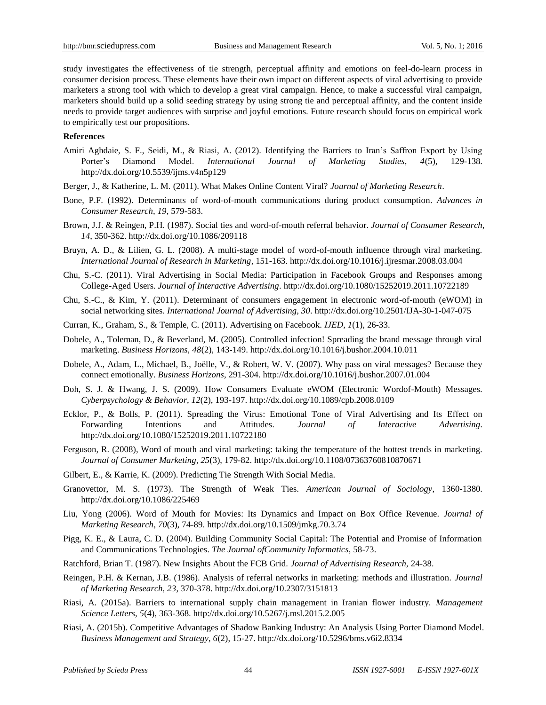study investigates the effectiveness of tie strength, perceptual affinity and emotions on feel-do-learn process in consumer decision process. These elements have their own impact on different aspects of viral advertising to provide marketers a strong tool with which to develop a great viral campaign. Hence, to make a successful viral campaign, marketers should build up a solid seeding strategy by using strong tie and perceptual affinity, and the content inside needs to provide target audiences with surprise and joyful emotions. Future research should focus on empirical work to empirically test our propositions.

#### **References**

- Amiri Aghdaie, S. F., Seidi, M., & Riasi, A. (2012). Identifying the Barriers to Iran's Saffron Export by Using Porter's Diamond Model. *International Journal of Marketing Studies, 4*(5), 129-138. <http://dx.doi.org/10.5539/ijms.v4n5p129>
- Berger, J., & Katherine, L. M. (2011). What Makes Online Content Viral? *Journal of Marketing Research*.
- Bone, P.F. (1992). Determinants of word-of-mouth communications during product consumption. *Advances in Consumer Research, 19*, 579-583.
- Brown, J.J. & Reingen, P.H. (1987). Social ties and word-of-mouth referral behavior. *Journal of Consumer Research, 14*, 350-362. <http://dx.doi.org/10.1086/209118>
- Bruyn, A. D., & Lilien, G. L. (2008). A multi-stage model of word-of-mouth influence through viral marketing. *International Journal of Research in Marketing*, 151-163. <http://dx.doi.org/10.1016/j.ijresmar.2008.03.004>
- Chu, S.-C. (2011). Viral Advertising in Social Media: Participation in Facebook Groups and Responses among College-Aged Users. *Journal of Interactive Advertising*. <http://dx.doi.org/10.1080/15252019.2011.10722189>
- Chu, S.-C., & Kim, Y. (2011). Determinant of consumers engagement in electronic word-of-mouth (eWOM) in social networking sites. *International Journal of Advertising, 30*. <http://dx.doi.org/10.2501/IJA-30-1-047-075>
- Curran, K., Graham, S., & Temple, C. (2011). Advertising on Facebook. *IJED, 1*(1), 26-33.
- Dobele, A., Toleman, D., & Beverland, M. (2005). Controlled infection! Spreading the brand message through viral marketing. *Business Horizons, 48*(2), 143-149[. http://dx.doi.org/10.1016/j.bushor.2004.10.011](http://dx.doi.org/10.1016/j.bushor.2004.10.011)
- Dobele, A., Adam, L., Michael, B., Joëlle, V., & Robert, W. V. (2007). Why pass on viral messages? Because they connect emotionally. *Business Horizons*, 291-304. <http://dx.doi.org/10.1016/j.bushor.2007.01.004>
- Doh, S. J. & Hwang, J. S. (2009). How Consumers Evaluate eWOM (Electronic Wordof-Mouth) Messages. *Cyberpsychology & Behavior, 12*(2), 193-197.<http://dx.doi.org/10.1089/cpb.2008.0109>
- Ecklor, P., & Bolls, P. (2011). Spreading the Virus: Emotional Tone of Viral Advertising and Its Effect on Forwarding Intentions and Attitudes. *Journal of Interactive Advertising*. <http://dx.doi.org/10.1080/15252019.2011.10722180>
- Ferguson, R. (2008), Word of mouth and viral marketing: taking the temperature of the hottest trends in marketing. *Journal of Consumer Marketing, 25*(3), 179-82. <http://dx.doi.org/10.1108/07363760810870671>
- Gilbert, E., & Karrie, K. (2009). Predicting Tie Strength With Social Media.
- Granovettor, M. S. (1973). The Strength of Weak Ties. *American Journal of Sociology*, 1360-1380. <http://dx.doi.org/10.1086/225469>
- Liu, Yong (2006). Word of Mouth for Movies: Its Dynamics and Impact on Box Office Revenue. *Journal of Marketing Research, 70*(3), 74-89.<http://dx.doi.org/10.1509/jmkg.70.3.74>
- Pigg, K. E., & Laura, C. D. (2004). Building Community Social Capital: The Potential and Promise of Information and Communications Technologies. *The Journal ofCommunity Informatics*, 58-73.
- Ratchford, Brian T. (1987). New Insights About the FCB Grid. *Journal of Advertising Research*, 24-38.
- Reingen, P.H. & Kernan, J.B. (1986). Analysis of referral networks in marketing: methods and illustration. *Journal of Marketing Research, 23*, 370-378.<http://dx.doi.org/10.2307/3151813>
- Riasi, A. (2015a). Barriers to international supply chain management in Iranian flower industry. *Management Science Letters, 5*(4), 363-368[. http://dx.doi.org/10.5267/j.msl.2015.2.005](http://dx.doi.org/10.5267/j.msl.2015.2.005)
- Riasi, A. (2015b). Competitive Advantages of Shadow Banking Industry: An Analysis Using Porter Diamond Model. *Business Management and Strategy, 6*(2), 15-27.<http://dx.doi.org/10.5296/bms.v6i2.8334>